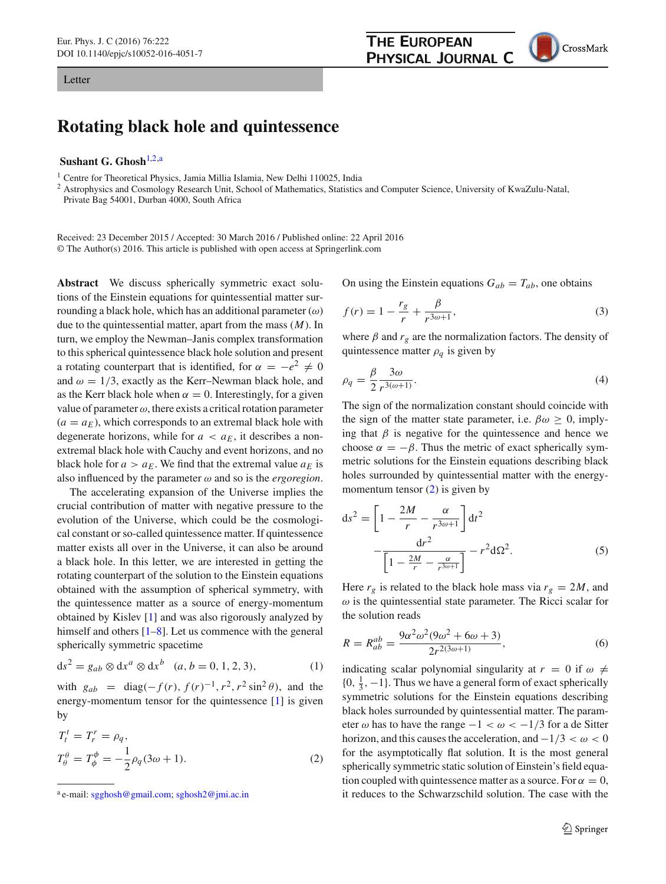## Letter

## **Rotating black hole and quintessence**

## **Sushant G. Ghosh**[1,2,](#page-0-0)a

<sup>1</sup> Centre for Theoretical Physics, Jamia Millia Islamia, New Delhi 110025, India

<sup>2</sup> Astrophysics and Cosmology Research Unit, School of Mathematics, Statistics and Computer Science, University of KwaZulu-Natal, Private Bag 54001, Durban 4000, South Africa

Received: 23 December 2015 / Accepted: 30 March 2016 / Published online: 22 April 2016 © The Author(s) 2016. This article is published with open access at Springerlink.com

**Abstract** We discuss spherically symmetric exact solutions of the Einstein equations for quintessential matter surrounding a black hole, which has an additional parameter  $(\omega)$ due to the quintessential matter, apart from the mass (*M*). In turn, we employ the Newman–Janis complex transformation to this spherical quintessence black hole solution and present a rotating counterpart that is identified, for  $\alpha = -e^2 \neq 0$ and  $\omega = 1/3$ , exactly as the Kerr–Newman black hole, and as the Kerr black hole when  $\alpha = 0$ . Interestingly, for a given value of parameter  $\omega$ , there exists a critical rotation parameter  $(a = a_F)$ , which corresponds to an extremal black hole with degenerate horizons, while for  $a < a_E$ , it describes a nonextremal black hole with Cauchy and event horizons, and no black hole for  $a > a_E$ . We find that the extremal value  $a_E$  is also influenced by the parameter  $\omega$  and so is the *ergoregion*.

The accelerating expansion of the Universe implies the crucial contribution of matter with negative pressure to the evolution of the Universe, which could be the cosmological constant or so-called quintessence matter. If quintessence matter exists all over in the Universe, it can also be around a black hole. In this letter, we are interested in getting the rotating counterpart of the solution to the Einstein equations obtained with the assumption of spherical symmetry, with the quintessence matter as a source of energy-momentum obtained by Kislev [\[1](#page-7-0)] and was also rigorously analyzed by himself and others  $[1-8]$  $[1-8]$ . Let us commence with the general spherically symmetric spacetime

$$
ds^{2} = g_{ab} \otimes dx^{a} \otimes dx^{b} \quad (a, b = 0, 1, 2, 3), \tag{1}
$$

with  $g_{ab} = \text{diag}(-f(r), f(r)^{-1}, r^2, r^2 \sin^2 \theta)$ , and the energy-momentum tensor for the quintessence [\[1\]](#page-7-0) is given by

<span id="page-0-1"></span>
$$
T_t^t = T_r^r = \rho_q,
$$
  
\n
$$
T_\theta^\theta = T_\phi^\phi = -\frac{1}{2}\rho_q(3\omega + 1).
$$
\n(2)

<span id="page-0-0"></span>On using the Einstein equations  $G_{ab} = T_{ab}$ , one obtains

**THE EUROPEAN** 

PHYSICAL JOURNAL C

$$
f(r) = 1 - \frac{r_g}{r} + \frac{\beta}{r^{3\omega + 1}},
$$
\n(3)

where  $\beta$  and  $r_g$  are the normalization factors. The density of quintessence matter  $\rho_q$  is given by

$$
\rho_q = \frac{\beta}{2} \frac{3\omega}{r^{3(\omega+1)}}.
$$
\n(4)

The sign of the normalization constant should coincide with the sign of the matter state parameter, i.e.  $\beta \omega \geq 0$ , implying that  $\beta$  is negative for the quintessence and hence we choose  $\alpha = -\beta$ . Thus the metric of exact spherically symmetric solutions for the Einstein equations describing black holes surrounded by quintessential matter with the energymomentum tensor  $(2)$  is given by

<span id="page-0-2"></span>
$$
ds^{2} = \left[1 - \frac{2M}{r} - \frac{\alpha}{r^{3\omega+1}}\right]dt^{2}
$$

$$
-\frac{dr^{2}}{\left[1 - \frac{2M}{r} - \frac{\alpha}{r^{3\omega+1}}\right]} - r^{2}d\Omega^{2}.
$$
 (5)

Here  $r_g$  is related to the black hole mass via  $r_g = 2M$ , and  $\omega$  is the quintessential state parameter. The Ricci scalar for the solution reads

$$
R = R_{ab}^{ab} = \frac{9\alpha^2 \omega^2 (9\omega^2 + 6\omega + 3)}{2r^{2(3\omega + 1)}},\tag{6}
$$

indicating scalar polynomial singularity at  $r = 0$  if  $\omega \neq$  $\{0, \frac{1}{3}, -1\}$ . Thus we have a general form of exact spherically symmetric solutions for the Einstein equations describing black holes surrounded by quintessential matter. The parameter  $\omega$  has to have the range  $-1 < \omega < -1/3$  for a de Sitter horizon, and this causes the acceleration, and  $-1/3 < \omega < 0$ for the asymptotically flat solution. It is the most general spherically symmetric static solution of Einstein's field equation coupled with quintessence matter as a source. For  $\alpha = 0$ , it reduces to the Schwarzschild solution. The case with the

<sup>a</sup> e-mail: [sgghosh@gmail.com;](mailto:sgghosh@gmail.com) [sghosh2@jmi.ac.in](mailto:sghosh2@jmi.ac.in)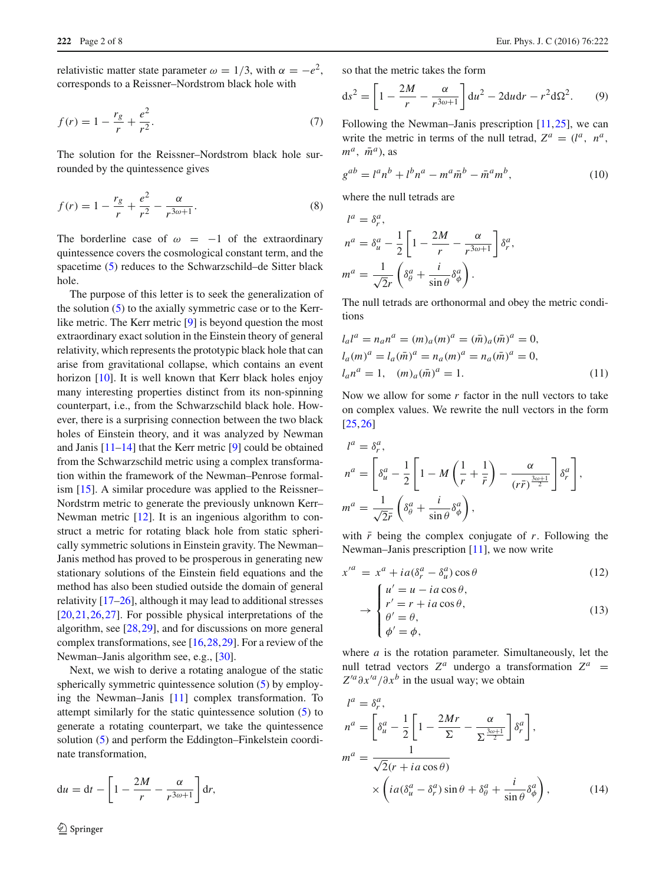relativistic matter state parameter  $\omega = 1/3$ , with  $\alpha = -e^2$ , corresponds to a Reissner–Nordstrom black hole with

$$
f(r) = 1 - \frac{r_g}{r} + \frac{e^2}{r^2}.
$$
 (7)

The solution for the Reissner–Nordstrom black hole surrounded by the quintessence gives

$$
f(r) = 1 - \frac{r_g}{r} + \frac{e^2}{r^2} - \frac{\alpha}{r^{3\omega + 1}}.
$$
 (8)

The borderline case of  $\omega = -1$  of the extraordinary quintessence covers the cosmological constant term, and the spacetime [\(5\)](#page-0-2) reduces to the Schwarzschild–de Sitter black hole.

The purpose of this letter is to seek the generalization of the solution [\(5\)](#page-0-2) to the axially symmetric case or to the Kerrlike metric. The Kerr metric [\[9\]](#page-7-2) is beyond question the most extraordinary exact solution in the Einstein theory of general relativity, which represents the prototypic black hole that can arise from gravitational collapse, which contains an event horizon [\[10](#page-7-3)]. It is well known that Kerr black holes enjoy many interesting properties distinct from its non-spinning counterpart, i.e., from the Schwarzschild black hole. However, there is a surprising connection between the two black holes of Einstein theory, and it was analyzed by Newman and Janis [\[11](#page-7-4)[–14](#page-7-5)] that the Kerr metric [\[9\]](#page-7-2) could be obtained from the Schwarzschild metric using a complex transformation within the framework of the Newman–Penrose formalism [\[15\]](#page-7-6). A similar procedure was applied to the Reissner– Nordstrm metric to generate the previously unknown Kerr– Newman metric [\[12\]](#page-7-7). It is an ingenious algorithm to construct a metric for rotating black hole from static spherically symmetric solutions in Einstein gravity. The Newman– Janis method has proved to be prosperous in generating new stationary solutions of the Einstein field equations and the method has also been studied outside the domain of general relativity [\[17](#page-7-8)[–26](#page-7-9)], although it may lead to additional stresses [\[20](#page-7-10),[21,](#page-7-11)[26](#page-7-9)[,27](#page-7-12)]. For possible physical interpretations of the algorithm, see [\[28](#page-7-13),[29\]](#page-7-14), and for discussions on more general complex transformations, see [\[16](#page-7-15)[,28](#page-7-13),[29](#page-7-14)]. For a review of the Newman–Janis algorithm see, e.g., [\[30\]](#page-7-16).

Next, we wish to derive a rotating analogue of the static spherically symmetric quintessence solution [\(5\)](#page-0-2) by employing the Newman–Janis [\[11](#page-7-4)] complex transformation. To attempt similarly for the static quintessence solution [\(5\)](#page-0-2) to generate a rotating counterpart, we take the quintessence solution [\(5\)](#page-0-2) and perform the Eddington–Finkelstein coordinate transformation,

$$
du = dt - \left[1 - \frac{2M}{r} - \frac{\alpha}{r^{3\omega+1}}\right] dr,
$$

so that the metric takes the form

$$
ds^{2} = \left[1 - \frac{2M}{r} - \frac{\alpha}{r^{3\omega + 1}}\right]du^{2} - 2du dr - r^{2} d\Omega^{2}.
$$
 (9)

Following the Newman–Janis prescription [\[11](#page-7-4),[25\]](#page-7-17), we can write the metric in terms of the null tetrad,  $Z^a = (l^a, n^a,$  $m^a$ ,  $\bar{m}^a$ ), as

<span id="page-1-1"></span>
$$
g^{ab} = l^a n^b + l^b n^a - m^a \bar{m}^b - \bar{m}^a m^b,
$$
 (10)

where the null tetrads are

$$
l^{a} = \delta_{r}^{a},
$$
  
\n
$$
n^{a} = \delta_{u}^{a} - \frac{1}{2} \left[ 1 - \frac{2M}{r} - \frac{\alpha}{r^{3\omega + 1}} \right] \delta_{r}^{a},
$$
  
\n
$$
m^{a} = \frac{1}{\sqrt{2}r} \left( \delta_{\theta}^{a} + \frac{i}{\sin \theta} \delta_{\phi}^{a} \right).
$$

The null tetrads are orthonormal and obey the metric conditions

$$
l_a l^a = n_a n^a = (m)_a (m)^a = (\bar{m})_a (\bar{m})^a = 0,
$$
  
\n
$$
l_a (m)^a = l_a (\bar{m})^a = n_a (m)^a = n_a (\bar{m})^a = 0,
$$
  
\n
$$
l_a n^a = 1, \quad (m)_a (\bar{m})^a = 1.
$$
\n(11)

Now we allow for some *r* factor in the null vectors to take on complex values. We rewrite the null vectors in the form [\[25](#page-7-17),[26\]](#page-7-9)

$$
l^{a} = \delta_{r}^{a},
$$
  
\n
$$
n^{a} = \left[\delta_{u}^{a} - \frac{1}{2}\left[1 - M\left(\frac{1}{r} + \frac{1}{\bar{r}}\right) - \frac{\alpha}{(r\bar{r})^{\frac{3\omega + 1}{2}}}\right]\delta_{r}^{a}\right],
$$
  
\n
$$
m^{a} = \frac{1}{\sqrt{2}\bar{r}}\left(\delta_{\theta}^{a} + \frac{i}{\sin\theta}\delta_{\phi}^{a}\right),
$$

with  $\bar{r}$  being the complex conjugate of  $r$ . Following the Newman–Janis prescription [\[11\]](#page-7-4), we now write

$$
x'^a = x^a + ia(\delta_r^a - \delta_u^a) \cos \theta
$$
\n
$$
\begin{cases}\nu' = u - ia \cos \theta, \\
r' = r + ia \cos \theta,\n\end{cases}
$$
\n(12)

$$
\rightarrow \begin{cases} r' = r + ia \cos \theta, \\ \theta' = \theta, \\ \phi' = \phi, \end{cases}
$$
 (13)

where *a* is the rotation parameter. Simultaneously, let the null tetrad vectors  $Z^a$  undergo a transformation  $Z^a$  =  $Z'^{a} \partial x'^{a} / \partial x^{b}$  in the usual way; we obtain

<span id="page-1-0"></span>
$$
l^{a} = \delta_{r}^{a},
$$
  
\n
$$
n^{a} = \left[\delta_{u}^{a} - \frac{1}{2}\left[1 - \frac{2Mr}{\Sigma} - \frac{\alpha}{\Sigma^{\frac{3\omega + 1}{2}}}\right]\delta_{r}^{a}\right],
$$
  
\n
$$
m^{a} = \frac{1}{\sqrt{2}(r + i a \cos \theta)}
$$
  
\n
$$
\times \left( i a(\delta_{u}^{a} - \delta_{r}^{a}) \sin \theta + \delta_{\theta}^{a} + \frac{i}{\sin \theta}\delta_{\phi}^{a} \right),
$$
\n(14)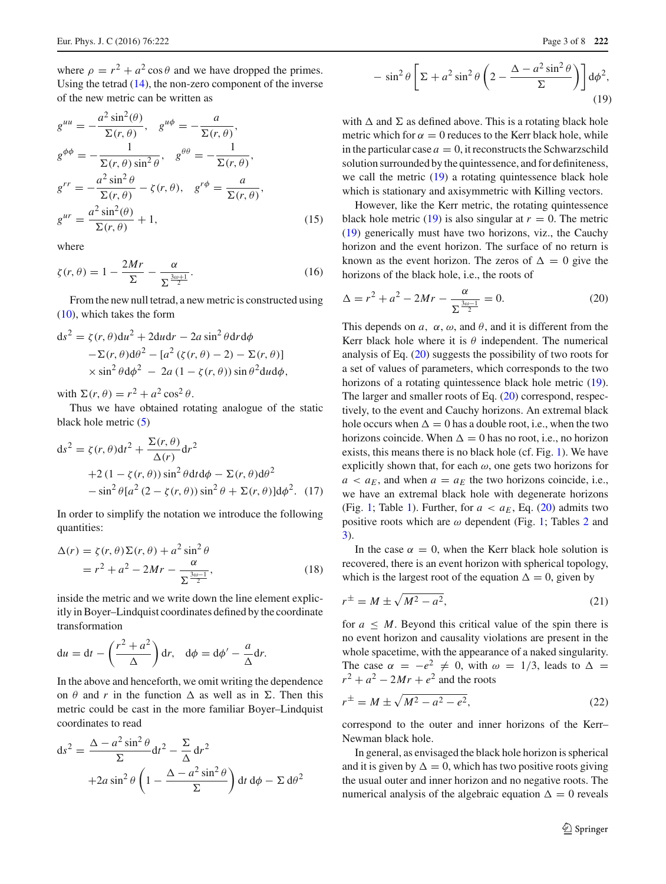where  $\rho = r^2 + a^2 \cos \theta$  and we have dropped the primes. Using the tetrad [\(14\)](#page-1-0), the non-zero component of the inverse of the new metric can be written as

$$
g^{uu} = -\frac{a^2 \sin^2(\theta)}{\Sigma(r, \theta)}, \quad g^{u\phi} = -\frac{a}{\Sigma(r, \theta)},
$$
  
\n
$$
g^{\phi\phi} = -\frac{1}{\Sigma(r, \theta) \sin^2 \theta}, \quad g^{\theta\theta} = -\frac{1}{\Sigma(r, \theta)},
$$
  
\n
$$
g^{rr} = -\frac{a^2 \sin^2 \theta}{\Sigma(r, \theta)} - \zeta(r, \theta), \quad g^{r\phi} = \frac{a}{\Sigma(r, \theta)},
$$
  
\n
$$
g^{ur} = \frac{a^2 \sin^2(\theta)}{\Sigma(r, \theta)} + 1,
$$
\n(15)

where

$$
\zeta(r,\theta) = 1 - \frac{2Mr}{\Sigma} - \frac{\alpha}{\Sigma^{\frac{3\omega+1}{2}}}.\tag{16}
$$

From the new null tetrad, a new metric is constructed using [\(10\)](#page-1-1), which takes the form

$$
ds^{2} = \zeta(r, \theta) du^{2} + 2du dr - 2a \sin^{2} \theta dr d\phi
$$
  
- $\Sigma(r, \theta) d\theta^{2} - [a^{2} (\zeta(r, \theta) - 2) - \Sigma(r, \theta)]$   
 $\times \sin^{2} \theta d\phi^{2} - 2a (1 - \zeta(r, \theta)) \sin \theta^{2} du d\phi,$ 

with  $\Sigma(r, \theta) = r^2 + a^2 \cos^2 \theta$ .

Thus we have obtained rotating analogue of the static black hole metric [\(5\)](#page-0-2)

$$
ds^{2} = \zeta(r,\theta)dt^{2} + \frac{\Sigma(r,\theta)}{\Delta(r)}dr^{2}
$$
  
+2(1 - \zeta(r,\theta)) sin^{2}\theta dt d\phi - \Sigma(r,\theta)d\theta^{2}  
- sin^{2}\theta[a^{2}(2 - \zeta(r,\theta))sin^{2}\theta + \Sigma(r,\theta)]d\phi^{2}. (17)

In order to simplify the notation we introduce the following quantities:

$$
\Delta(r) = \zeta(r,\theta)\Sigma(r,\theta) + a^2 \sin^2\theta
$$
  
=  $r^2 + a^2 - 2Mr - \frac{\alpha}{\Sigma^{\frac{3\omega-1}{2}}}$ , (18)

inside the metric and we write down the line element explicitly in Boyer–Lindquist coordinates defined by the coordinate transformation

$$
du = dt - \left(\frac{r^2 + a^2}{\Delta}\right) dr, \quad d\phi = d\phi' - \frac{a}{\Delta} dr.
$$

In the above and henceforth, we omit writing the dependence on  $\theta$  and *r* in the function  $\Delta$  as well as in  $\Sigma$ . Then this metric could be cast in the more familiar Boyer–Lindquist coordinates to read

<span id="page-2-0"></span>
$$
ds^{2} = \frac{\Delta - a^{2} \sin^{2} \theta}{\Sigma} dt^{2} - \frac{\Sigma}{\Delta} dr^{2}
$$

$$
+ 2a \sin^{2} \theta \left( 1 - \frac{\Delta - a^{2} \sin^{2} \theta}{\Sigma} \right) dt d\phi - \Sigma d\theta^{2}
$$

$$
-\sin^2\theta \left[\Sigma + a^2\sin^2\theta \left(2 - \frac{\Delta - a^2\sin^2\theta}{\Sigma}\right)\right] d\phi^2,
$$
\n(19)

with  $\Delta$  and  $\Sigma$  as defined above. This is a rotating black hole metric which for  $\alpha = 0$  reduces to the Kerr black hole, while in the particular case  $a = 0$ , it reconstructs the Schwarzschild solution surrounded by the quintessence, and for definiteness, we call the metric  $(19)$  a rotating quintessence black hole which is stationary and axisymmetric with Killing vectors.

However, like the Kerr metric, the rotating quintessence black hole metric [\(19\)](#page-2-0) is also singular at  $r = 0$ . The metric [\(19\)](#page-2-0) generically must have two horizons, viz., the Cauchy horizon and the event horizon. The surface of no return is known as the event horizon. The zeros of  $\Delta = 0$  give the horizons of the black hole, i.e., the roots of

<span id="page-2-1"></span>
$$
\Delta = r^2 + a^2 - 2Mr - \frac{\alpha}{\sum_{i=1}^{\frac{3\omega - 1}{2}}} = 0.
$$
 (20)

This depends on  $a$ ,  $\alpha$ ,  $\omega$ , and  $\theta$ , and it is different from the Kerr black hole where it is  $\theta$  independent. The numerical analysis of Eq. [\(20\)](#page-2-1) suggests the possibility of two roots for a set of values of parameters, which corresponds to the two horizons of a rotating quintessence black hole metric [\(19\)](#page-2-0). The larger and smaller roots of Eq. [\(20\)](#page-2-1) correspond, respectively, to the event and Cauchy horizons. An extremal black hole occurs when  $\Delta = 0$  has a double root, i.e., when the two horizons coincide. When  $\Delta = 0$  has no root, i.e., no horizon exists, this means there is no black hole (cf. Fig. [1\)](#page-3-0). We have explicitly shown that, for each  $\omega$ , one gets two horizons for  $a < a_E$ , and when  $a = a_E$  the two horizons coincide, i.e., we have an extremal black hole with degenerate horizons (Fig. [1;](#page-3-0) Table [1\)](#page-4-0). Further, for  $a < a_E$ , Eq. [\(20\)](#page-2-1) admits two positive roots which are  $\omega$  dependent (Fig. [1;](#page-3-0) Tables [2](#page-4-1) and [3\)](#page-4-2).

In the case  $\alpha = 0$ , when the Kerr black hole solution is recovered, there is an event horizon with spherical topology, which is the largest root of the equation  $\Delta = 0$ , given by

$$
r^{\pm} = M \pm \sqrt{M^2 - a^2},\tag{21}
$$

for  $a \leq M$ . Beyond this critical value of the spin there is no event horizon and causality violations are present in the whole spacetime, with the appearance of a naked singularity. The case  $\alpha = -e^2 \neq 0$ , with  $\omega = 1/3$ , leads to  $\Delta =$  $r^2 + a^2 - 2Mr + e^2$  and the roots

$$
r^{\pm} = M \pm \sqrt{M^2 - a^2 - e^2},\tag{22}
$$

correspond to the outer and inner horizons of the Kerr– Newman black hole.

In general, as envisaged the black hole horizon is spherical and it is given by  $\Delta = 0$ , which has two positive roots giving the usual outer and inner horizon and no negative roots. The numerical analysis of the algebraic equation  $\Delta = 0$  reveals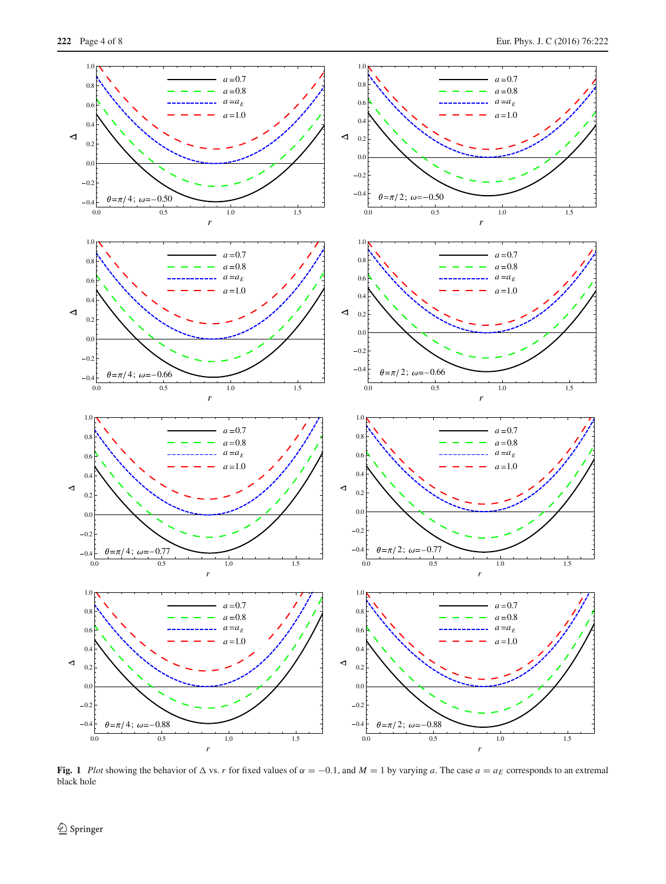

<span id="page-3-0"></span>Fig. 1 *Plot* showing the behavior of  $\triangle$  vs. *r* for fixed values of  $\alpha = -0.1$ , and  $M = 1$  by varying *a*. The case  $a = a_E$  corresponds to an extremal black hole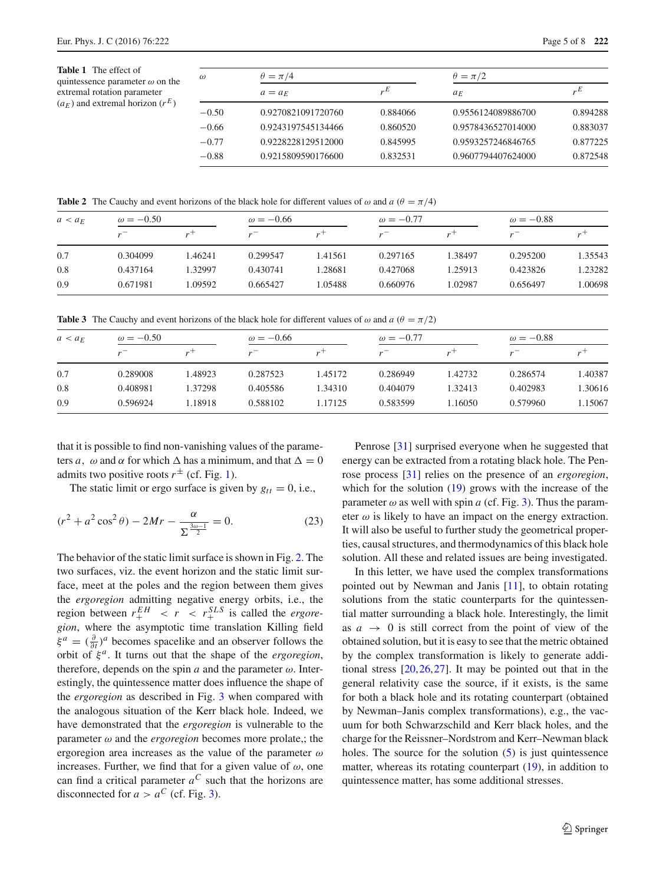<span id="page-4-0"></span>

| $\omega$ | $\theta = \pi/4$   |          | $\theta = \pi/2$   |                  |  |  |
|----------|--------------------|----------|--------------------|------------------|--|--|
|          | $a = a_F$          | E        | $a_F$              | $E_{\mu}E_{\mu}$ |  |  |
| $-0.50$  | 0.9270821091720760 | 0.884066 | 0.9556124089886700 | 0.894288         |  |  |
| $-0.66$  | 0.9243197545134466 | 0.860520 | 0.9578436527014000 | 0.883037         |  |  |
| $-0.77$  | 0.9228228129512000 | 0.845995 | 0.9593257246846765 | 0.877225         |  |  |
| $-0.88$  | 0.9215809590176600 | 0.832531 | 0.9607794407624000 | 0.872548         |  |  |

**Table 2** The Cauchy and event horizons of the black hole for different values of  $\omega$  and  $a \ (\theta = \pi/4)$ 

<span id="page-4-1"></span>

| $a < a_F$ | $\omega = -0.50$ |         | $\omega = -0.66$ |                    | $\omega = -0.77$ |         | $\omega = -0.88$ |                |
|-----------|------------------|---------|------------------|--------------------|------------------|---------|------------------|----------------|
|           |                  | $r^+$   |                  | $\boldsymbol{r}^+$ |                  | $r^+$   |                  | $\mathbf{r}^+$ |
| 0.7       | 0.304099         | 1.46241 | 0.299547         | 1.41561            | 0.297165         | 1.38497 | 0.295200         | 1.35543        |
| 0.8       | 0.437164         | 1.32997 | 0.430741         | 1.28681            | 0.427068         | 1.25913 | 0.423826         | 1.23282        |
| 0.9       | 0.671981         | 1.09592 | 0.665427         | .05488             | 0.660976         | 1.02987 | 0.656497         | 1.00698        |

<span id="page-4-2"></span>**Table 3** The Cauchy and event horizons of the black hole for different values of  $\omega$  and  $a$  ( $\theta = \pi/2$ )

| $a < a_F$ | $\omega = -0.50$ |         | $\omega = -0.66$ |           | $\omega = -0.77$ |         | $\omega = -0.88$ |                |
|-----------|------------------|---------|------------------|-----------|------------------|---------|------------------|----------------|
|           |                  | $r^+$   |                  | $\cdot$ + | $\mathbf{v}$     | $r^+$   |                  | $\overline{r}$ |
| 0.7       | 0.289008         | .48923  | 0.287523         | 1.45172   | 0.286949         | 1.42732 | 0.286574         | 1.40387        |
| 0.8       | 0.408981         | 1.37298 | 0.405586         | 1.34310   | 0.404079         | 1.32413 | 0.402983         | 1.30616        |
| 0.9       | 0.596924         | 1.18918 | 0.588102         | 1.17125   | 0.583599         | 1.16050 | 0.579960         | 1.15067        |

that it is possible to find non-vanishing values of the parameters *a*,  $\omega$  and  $\alpha$  for which  $\Delta$  has a minimum, and that  $\Delta = 0$ admits two positive roots  $r^{\pm}$  (cf. Fig. [1\)](#page-3-0).

The static limit or ergo surface is given by  $g_{tt} = 0$ , i.e.,

$$
(r^2 + a^2 \cos^2 \theta) - 2Mr - \frac{\alpha}{\sum_{\frac{3\omega - 1}{2}}} = 0.
$$
 (23)

The behavior of the static limit surface is shown in Fig. [2.](#page-5-0) The two surfaces, viz. the event horizon and the static limit surface, meet at the poles and the region between them gives the *ergoregion* admitting negative energy orbits, i.e., the region between  $r_+^{EH} < r < r_+^{SLS}$  is called the *ergoregion*, where the asymptotic time translation Killing field  $\xi^a = (\frac{\partial}{\partial t})^a$  becomes spacelike and an observer follows the orbit of ξ *<sup>a</sup>*. It turns out that the shape of the *ergoregion*, therefore, depends on the spin  $a$  and the parameter  $\omega$ . Interestingly, the quintessence matter does influence the shape of the *ergoregion* as described in Fig. [3](#page-6-0) when compared with the analogous situation of the Kerr black hole. Indeed, we have demonstrated that the *ergoregion* is vulnerable to the parameter  $\omega$  and the *ergoregion* becomes more prolate,; the ergoregion area increases as the value of the parameter  $\omega$ increases. Further, we find that for a given value of  $\omega$ , one can find a critical parameter  $a^C$  such that the horizons are disconnected for  $a > a^C$  (cf. Fig. [3\)](#page-6-0).

Penrose [\[31](#page-7-18)] surprised everyone when he suggested that energy can be extracted from a rotating black hole. The Penrose process [\[31](#page-7-18)] relies on the presence of an *ergoregion*, which for the solution  $(19)$  grows with the increase of the parameter  $\omega$  as well with spin *a* (cf. Fig. [3\)](#page-6-0). Thus the parameter  $\omega$  is likely to have an impact on the energy extraction. It will also be useful to further study the geometrical properties, causal structures, and thermodynamics of this black hole solution. All these and related issues are being investigated.

In this letter, we have used the complex transformations pointed out by Newman and Janis [\[11\]](#page-7-4), to obtain rotating solutions from the static counterparts for the quintessential matter surrounding a black hole. Interestingly, the limit as  $a \rightarrow 0$  is still correct from the point of view of the obtained solution, but it is easy to see that the metric obtained by the complex transformation is likely to generate additional stress [\[20](#page-7-10)[,26](#page-7-9)[,27](#page-7-12)]. It may be pointed out that in the general relativity case the source, if it exists, is the same for both a black hole and its rotating counterpart (obtained by Newman–Janis complex transformations), e.g., the vacuum for both Schwarzschild and Kerr black holes, and the charge for the Reissner–Nordstrom and Kerr–Newman black holes. The source for the solution  $(5)$  is just quintessence matter, whereas its rotating counterpart [\(19\)](#page-2-0), in addition to quintessence matter, has some additional stresses.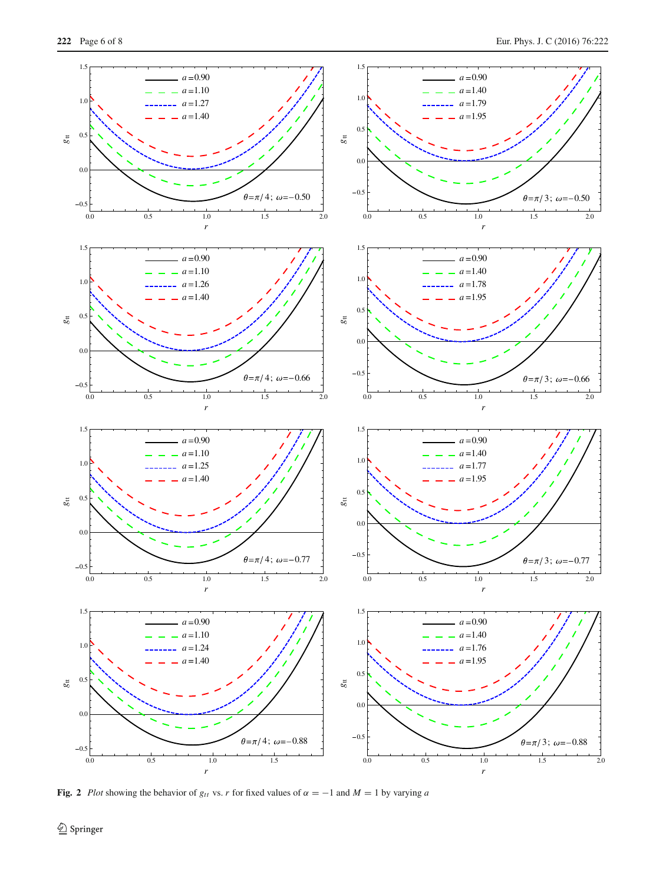

<span id="page-5-0"></span>**Fig. 2** *Plot* showing the behavior of  $g_{tt}$  vs. *r* for fixed values of  $\alpha = -1$  and  $M = 1$  by varying *a*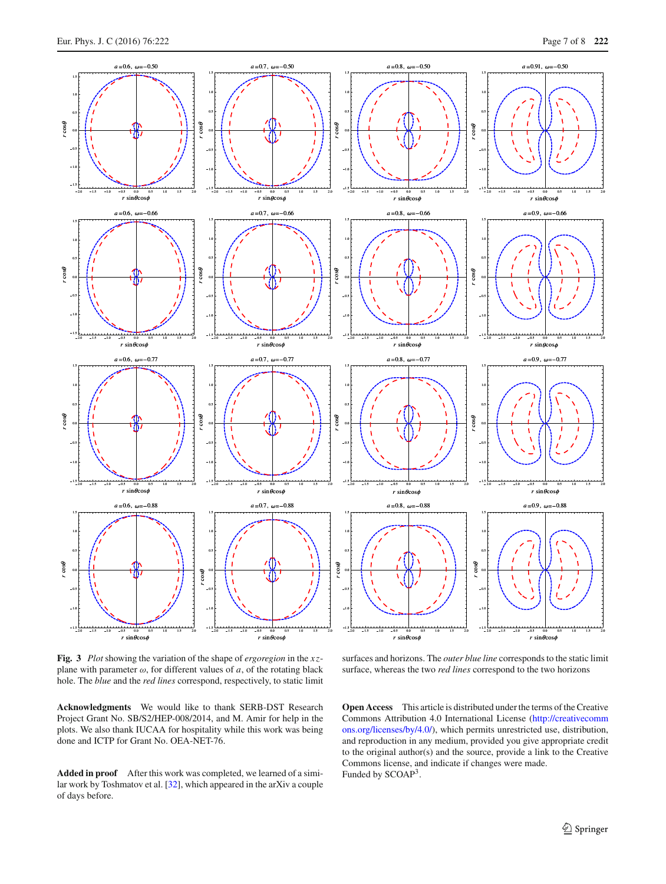

<span id="page-6-0"></span>**Fig. 3** *Plot* showing the variation of the shape of *ergoregion* in the *x z*plane with parameter  $\omega$ , for different values of  $a$ , of the rotating black hole. The *blue* and the *red lines* correspond, respectively, to static limit

surfaces and horizons. The *outer blue line* corresponds to the static limit surface, whereas the two *red lines* correspond to the two horizons

**Acknowledgments** We would like to thank SERB-DST Research Project Grant No. SB/S2/HEP-008/2014, and M. Amir for help in the plots. We also thank IUCAA for hospitality while this work was being done and ICTP for Grant No. OEA-NET-76.

**Added in proof** After this work was completed, we learned of a similar work by Toshmatov et al. [\[32\]](#page-7-19), which appeared in the arXiv a couple of days before.

**Open Access** This article is distributed under the terms of the Creative Commons Attribution 4.0 International License [\(http://creativecomm](http://creativecommons.org/licenses/by/4.0/) [ons.org/licenses/by/4.0/\)](http://creativecommons.org/licenses/by/4.0/), which permits unrestricted use, distribution, and reproduction in any medium, provided you give appropriate credit to the original author(s) and the source, provide a link to the Creative Commons license, and indicate if changes were made. Funded by SCOAP<sup>3</sup>.